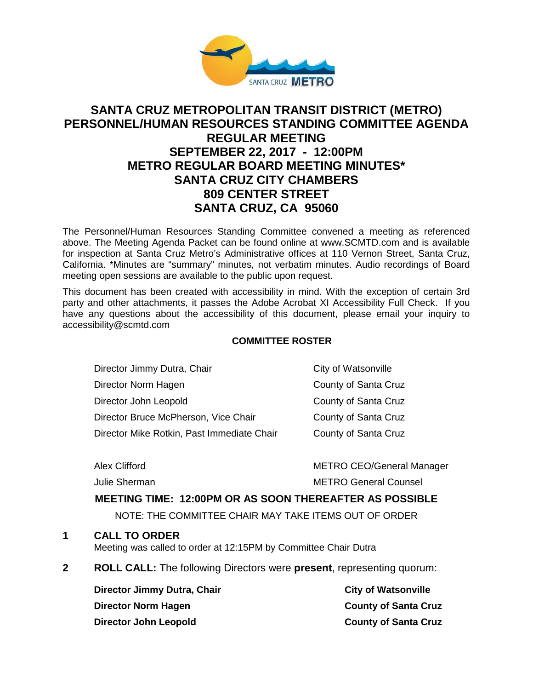

# **SANTA CRUZ METROPOLITAN TRANSIT DISTRICT (METRO) PERSONNEL/HUMAN RESOURCES STANDING COMMITTEE AGENDA REGULAR MEETING SEPTEMBER 22, 2017 - 12:00PM METRO REGULAR BOARD MEETING MINUTES\* SANTA CRUZ CITY CHAMBERS 809 CENTER STREET SANTA CRUZ, CA 95060**

The Personnel/Human Resources Standing Committee convened a meeting as referenced above. The Meeting Agenda Packet can be found online at www.SCMTD.com and is available for inspection at Santa Cruz Metro's Administrative offices at 110 Vernon Street, Santa Cruz, California. \*Minutes are "summary" minutes, not verbatim minutes. Audio recordings of Board meeting open sessions are available to the public upon request.

This document has been created with accessibility in mind. With the exception of certain 3rd party and other attachments, it passes the Adobe Acrobat XI Accessibility Full Check. If you have any questions about the accessibility of this document, please email your inquiry to [accessibility@scmtd.com](mailto:accessibility@scmtd.com)

### **COMMITTEE ROSTER**

| Director Jimmy Dutra, Chair                | City of Watsonville  |
|--------------------------------------------|----------------------|
| Director Norm Hagen                        | County of Santa Cruz |
| Director John Leopold                      | County of Santa Cruz |
| Director Bruce McPherson, Vice Chair       | County of Santa Cruz |
| Director Mike Rotkin, Past Immediate Chair | County of Santa Cruz |
|                                            |                      |

Alex Clifford **METRO CEO/General Manager** 

Julie Sherman METRO General Counsel

# **MEETING TIME: 12:00PM OR AS SOON THEREAFTER AS POSSIBLE**

NOTE: THE COMMITTEE CHAIR MAY TAKE ITEMS OUT OF ORDER

# **1 CALL TO ORDER**

Meeting was called to order at 12:15PM by Committee Chair Dutra

**2 ROLL CALL:** The following Directors were **present**, representing quorum:

**Director Jimmy Dutra, Chair City of Watsonville City of Watsonville Director Norm Hagen County of Santa Cruz Director John Leopold County of Santa Cruz**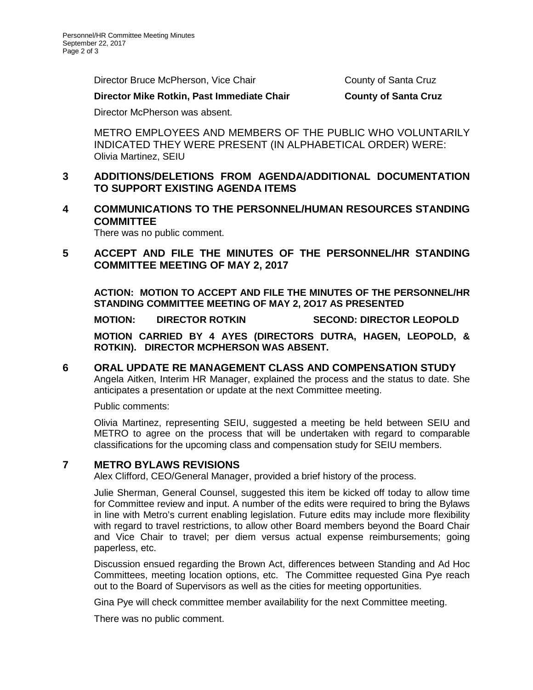Director Bruce McPherson, Vice Chair County of Santa Cruz

### **Director Mike Rotkin, Past Immediate Chair County of Santa Cruz**

Director McPherson was absent.

METRO EMPLOYEES AND MEMBERS OF THE PUBLIC WHO VOLUNTARILY INDICATED THEY WERE PRESENT (IN ALPHABETICAL ORDER) WERE: Olivia Martinez, SEIU

# **3 ADDITIONS/DELETIONS FROM AGENDA/ADDITIONAL DOCUMENTATION TO SUPPORT EXISTING AGENDA ITEMS**

## **4 COMMUNICATIONS TO THE PERSONNEL/HUMAN RESOURCES STANDING COMMITTEE**

There was no public comment.

# **5 ACCEPT AND FILE THE MINUTES OF THE PERSONNEL/HR STANDING COMMITTEE MEETING OF MAY 2, 2017**

**ACTION: MOTION TO ACCEPT AND FILE THE MINUTES OF THE PERSONNEL/HR STANDING COMMITTEE MEETING OF MAY 2, 2O17 AS PRESENTED** 

**MOTION: DIRECTOR ROTKIN SECOND: DIRECTOR LEOPOLD**

**MOTION CARRIED BY 4 AYES (DIRECTORS DUTRA, HAGEN, LEOPOLD, & ROTKIN). DIRECTOR MCPHERSON WAS ABSENT.** 

### **6 ORAL UPDATE RE MANAGEMENT CLASS AND COMPENSATION STUDY** Angela Aitken, Interim HR Manager, explained the process and the status to date. She anticipates a presentation or update at the next Committee meeting.

Public comments:

Olivia Martinez, representing SEIU, suggested a meeting be held between SEIU and METRO to agree on the process that will be undertaken with regard to comparable classifications for the upcoming class and compensation study for SEIU members.

# **7 METRO BYLAWS REVISIONS**

Alex Clifford, CEO/General Manager, provided a brief history of the process.

Julie Sherman, General Counsel, suggested this item be kicked off today to allow time for Committee review and input. A number of the edits were required to bring the Bylaws in line with Metro's current enabling legislation. Future edits may include more flexibility with regard to travel restrictions, to allow other Board members beyond the Board Chair and Vice Chair to travel; per diem versus actual expense reimbursements; going paperless, etc.

Discussion ensued regarding the Brown Act, differences between Standing and Ad Hoc Committees, meeting location options, etc. The Committee requested Gina Pye reach out to the Board of Supervisors as well as the cities for meeting opportunities.

Gina Pye will check committee member availability for the next Committee meeting.

There was no public comment.